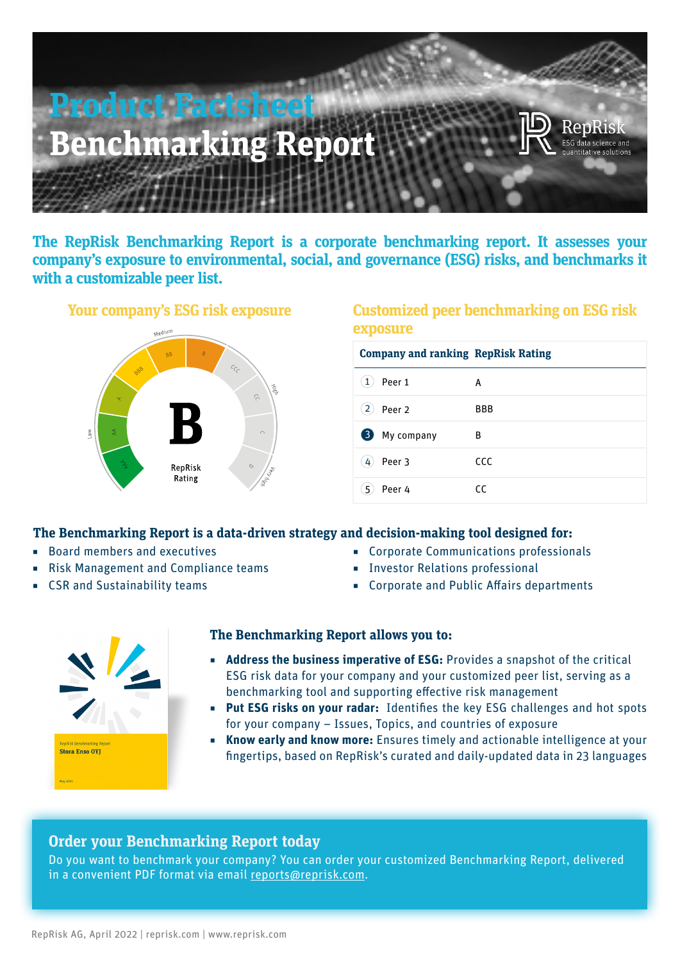

**The RepRisk Benchmarking Report is a corporate benchmarking report. It assesses your company's exposure to environmental, social, and governance (ESG) risks, and benchmarks it with a customizable peer list.**



## **Your company's ESG risk exposure Customized peer benchmarking on ESG risk exposure**

| <b>Company and ranking RepRisk Rating</b> |            |
|-------------------------------------------|------------|
| Peer 1<br>$\mathbf{1}$                    | A          |
| $\overline{2}$<br>Peer <sub>2</sub>       | <b>BBB</b> |
| 3)<br>My company                          | В          |
| Peer 3<br>$4^{\circ}$                     | <b>CCC</b> |
| 5<br>Peer 4                               | CC.        |

### **The Benchmarking Report is a data-driven strategy and decision-making tool designed for:**

- Board members and executives
- Risk Management and Compliance teams
- CSR and Sustainability teams
- Corporate Communications professionals
- ◾ Investor Relations professional
- Corporate and Public Affairs departments



### **The Benchmarking Report allows you to:**

- **Address the business imperative of ESG:** Provides a snapshot of the critical ESG risk data for your company and your customized peer list, serving as a benchmarking tool and supporting effective risk management
- **◾ Put ESG risks on your radar:** Identifies the key ESG challenges and hot spots for your company – Issues, Topics, and countries of exposure
- **◾ Know early and know more:** Ensures timely and actionable intelligence at your fingertips, based on RepRisk's curated and daily-updated data in 23 languages

## **Order your Benchmarking Report today**

Do you want to benchmark your company? You can order your customized Benchmarking Report, delivered in a convenient PDF format via email [reports@reprisk.com](mailto:reports%40reprisk.com?subject=).